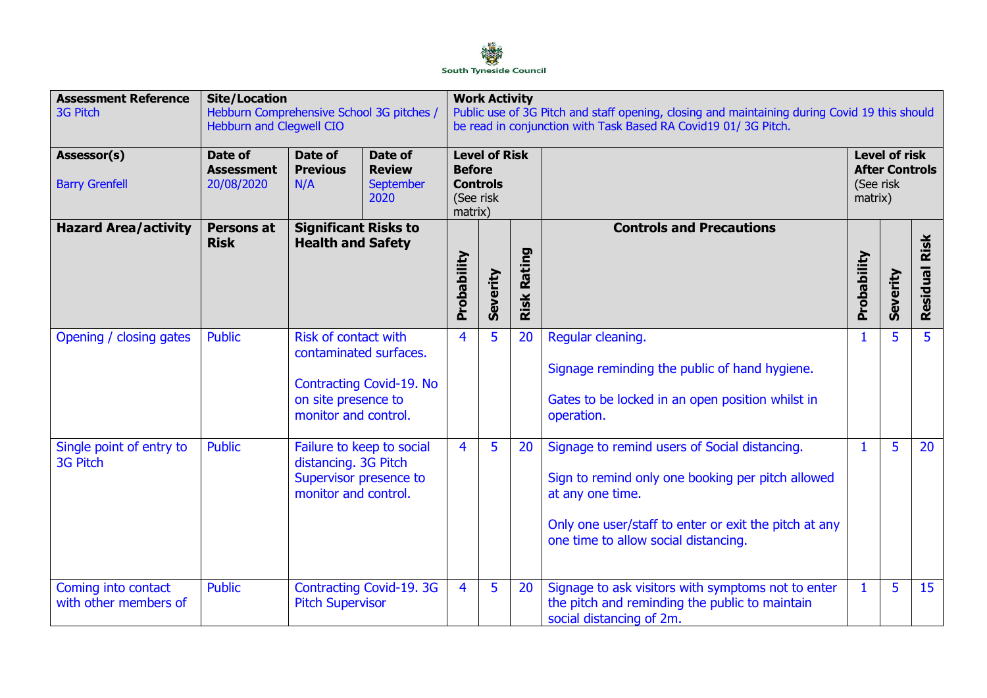

| <b>Assessment Reference</b><br><b>3G Pitch</b> | <b>Site/Location</b><br>Hebburn Comprehensive School 3G pitches /<br><b>Hebburn and Clegwell CIO</b> |                                                                                                      |                                               | <b>Work Activity</b><br>Public use of 3G Pitch and staff opening, closing and maintaining during Covid 19 this should<br>be read in conjunction with Task Based RA Covid19 01/3G Pitch. |                                                                   |                |                                                                                                                                      |                                                                       |                                                                                                                                                                                                                         |                |   |    |
|------------------------------------------------|------------------------------------------------------------------------------------------------------|------------------------------------------------------------------------------------------------------|-----------------------------------------------|-----------------------------------------------------------------------------------------------------------------------------------------------------------------------------------------|-------------------------------------------------------------------|----------------|--------------------------------------------------------------------------------------------------------------------------------------|-----------------------------------------------------------------------|-------------------------------------------------------------------------------------------------------------------------------------------------------------------------------------------------------------------------|----------------|---|----|
| Assessor(s)<br><b>Barry Grenfell</b>           | Date of<br><b>Assessment</b><br>20/08/2020                                                           | Date of<br><b>Previous</b><br>N/A                                                                    | Date of<br><b>Review</b><br>September<br>2020 | <b>Level of Risk</b><br><b>Before</b><br><b>Controls</b><br>(See risk<br>matrix)                                                                                                        |                                                                   |                |                                                                                                                                      | <b>Level of risk</b><br><b>After Controls</b><br>(See risk<br>matrix) |                                                                                                                                                                                                                         |                |   |    |
| <b>Hazard Area/activity</b>                    | Persons at<br><b>Risk</b>                                                                            | <b>Significant Risks to</b><br><b>Health and Safety</b>                                              |                                               | Probability                                                                                                                                                                             | <b>Controls and Precautions</b><br><b>Risk Rating</b><br>Severity |                | Probability                                                                                                                          | Severity                                                              | <b>Risk</b><br><b>Residual</b>                                                                                                                                                                                          |                |   |    |
| Opening / closing gates                        | <b>Public</b>                                                                                        | <b>Risk of contact with</b><br>contaminated surfaces.<br>on site presence to<br>monitor and control. | <b>Contracting Covid-19. No</b>               | $\overline{4}$                                                                                                                                                                          | 5                                                                 | 20             | Regular cleaning.<br>Signage reminding the public of hand hygiene.<br>Gates to be locked in an open position whilst in<br>operation. | $\mathbf{1}$                                                          | 5                                                                                                                                                                                                                       | $\overline{5}$ |   |    |
| Single point of entry to<br><b>3G Pitch</b>    | <b>Public</b>                                                                                        | Failure to keep to social<br>distancing. 3G Pitch<br>Supervisor presence to<br>monitor and control.  |                                               |                                                                                                                                                                                         |                                                                   | $\overline{4}$ | 5                                                                                                                                    | 20                                                                    | Signage to remind users of Social distancing.<br>Sign to remind only one booking per pitch allowed<br>at any one time.<br>Only one user/staff to enter or exit the pitch at any<br>one time to allow social distancing. |                | 5 | 20 |
| Coming into contact<br>with other members of   | <b>Public</b>                                                                                        | <b>Pitch Supervisor</b>                                                                              | <b>Contracting Covid-19.3G</b>                | $\overline{4}$                                                                                                                                                                          | 5                                                                 | 20             | Signage to ask visitors with symptoms not to enter<br>the pitch and reminding the public to maintain<br>social distancing of 2m.     | $\mathbf{1}$                                                          | 5                                                                                                                                                                                                                       | 15             |   |    |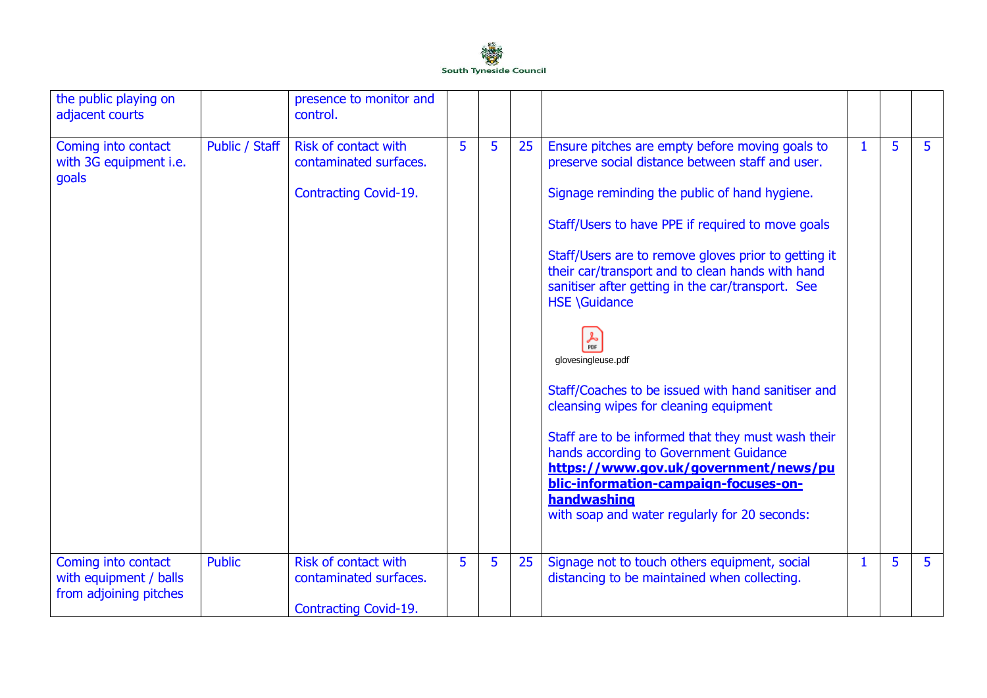

| the public playing on<br>adjacent courts                                |                | presence to monitor and<br>control.                                            |   |   |    |                                                                                                                                                                                                                                                                                                                                                                                                                                                                                                                                                                                                                                                                                                                                                                                               |   |   |   |
|-------------------------------------------------------------------------|----------------|--------------------------------------------------------------------------------|---|---|----|-----------------------------------------------------------------------------------------------------------------------------------------------------------------------------------------------------------------------------------------------------------------------------------------------------------------------------------------------------------------------------------------------------------------------------------------------------------------------------------------------------------------------------------------------------------------------------------------------------------------------------------------------------------------------------------------------------------------------------------------------------------------------------------------------|---|---|---|
| Coming into contact<br>with 3G equipment i.e.<br>qoals                  | Public / Staff | Risk of contact with<br>contaminated surfaces.<br><b>Contracting Covid-19.</b> | 5 | 5 | 25 | Ensure pitches are empty before moving goals to<br>preserve social distance between staff and user.<br>Signage reminding the public of hand hygiene.<br>Staff/Users to have PPE if required to move goals<br>Staff/Users are to remove gloves prior to getting it<br>their car/transport and to clean hands with hand<br>sanitiser after getting in the car/transport. See<br><b>HSE \Guidance</b><br>$\frac{1}{\pi}$<br>glovesingleuse.pdf<br>Staff/Coaches to be issued with hand sanitiser and<br>cleansing wipes for cleaning equipment<br>Staff are to be informed that they must wash their<br>hands according to Government Guidance<br>https://www.gov.uk/government/news/pu<br>blic-information-campaign-focuses-on-<br>handwashing<br>with soap and water regularly for 20 seconds: | 1 | 5 | 5 |
| Coming into contact<br>with equipment / balls<br>from adjoining pitches | <b>Public</b>  | Risk of contact with<br>contaminated surfaces.<br><b>Contracting Covid-19.</b> | 5 | 5 | 25 | Signage not to touch others equipment, social<br>distancing to be maintained when collecting.                                                                                                                                                                                                                                                                                                                                                                                                                                                                                                                                                                                                                                                                                                 | 1 | 5 | 5 |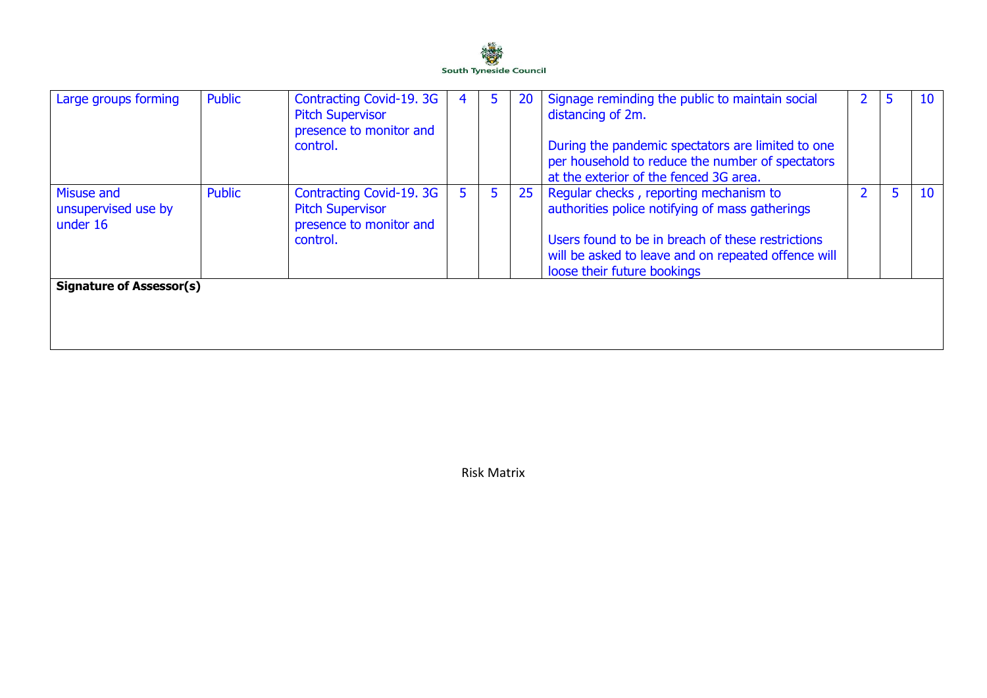

| Large groups forming                          | <b>Public</b> | Contracting Covid-19. 3G<br><b>Pitch Supervisor</b><br>presence to monitor and<br>control. | 4 | 5. | <b>20</b>       | Signage reminding the public to maintain social<br>distancing of 2m.<br>During the pandemic spectators are limited to one<br>per household to reduce the number of spectators<br>at the exterior of the fenced 3G area.              | $\overline{2}$ | 5 | 10 <sup>°</sup> |
|-----------------------------------------------|---------------|--------------------------------------------------------------------------------------------|---|----|-----------------|--------------------------------------------------------------------------------------------------------------------------------------------------------------------------------------------------------------------------------------|----------------|---|-----------------|
| Misuse and<br>unsupervised use by<br>under 16 | <b>Public</b> | Contracting Covid-19. 3G<br><b>Pitch Supervisor</b><br>presence to monitor and<br>control. | 5 | 5  | 25 <sub>1</sub> | Regular checks, reporting mechanism to<br>authorities police notifying of mass gatherings<br>Users found to be in breach of these restrictions<br>will be asked to leave and on repeated offence will<br>loose their future bookings | $\overline{2}$ | 5 | 10 <sup>°</sup> |
| <b>Signature of Assessor(s)</b>               |               |                                                                                            |   |    |                 |                                                                                                                                                                                                                                      |                |   |                 |

Risk Matrix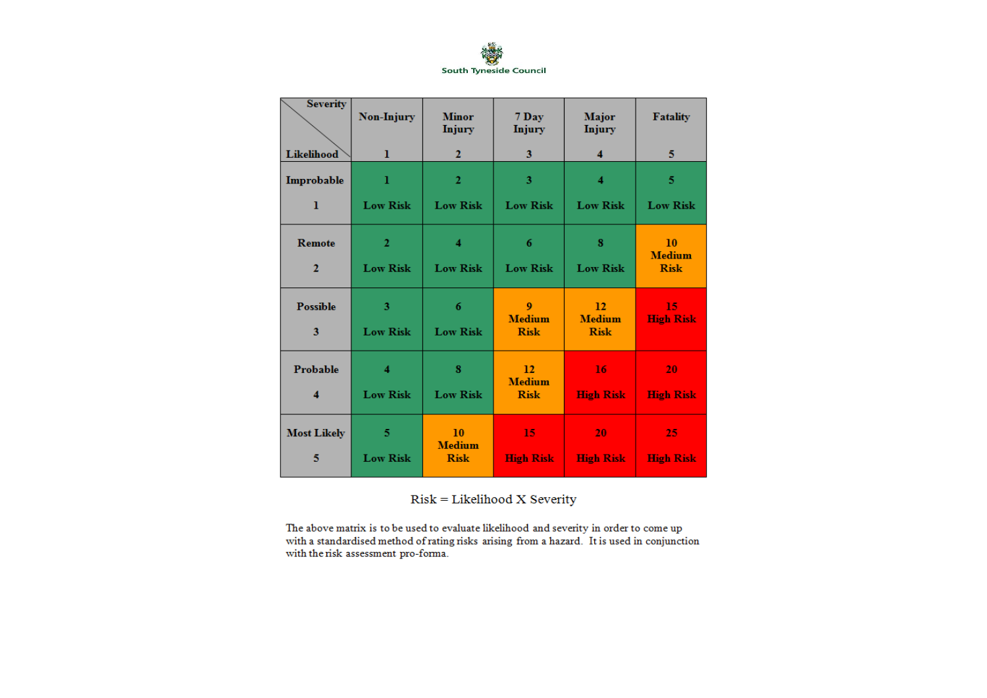

| <b>Severity</b>      | Non-Injury           | <b>Minor</b><br>Injury | $7$ Day<br><b>Injury</b>          | Major<br>Injury                    | <b>Fatality</b>        |
|----------------------|----------------------|------------------------|-----------------------------------|------------------------------------|------------------------|
| Likelihood           | 1                    | $\overline{2}$         | 3                                 | 4                                  | 5                      |
| Improbable           | 1                    | 2                      | 3                                 | 4                                  | 5                      |
| 1                    | <b>Low Risk</b>      | <b>Low Risk</b>        | <b>Low Risk</b>                   | <b>Low Risk</b>                    | <b>Low Risk</b>        |
| <b>Remote</b>        | $\mathbf{2}$         | 4                      | 6                                 | 8                                  | 10<br><b>Medium</b>    |
| $\mathbf{2}$         | <b>Low Risk</b>      | <b>Low Risk</b>        | <b>Low Risk</b>                   | <b>Low Risk</b>                    | <b>Risk</b>            |
| <b>Possible</b><br>3 | 3<br><b>Low Risk</b> | 6<br><b>Low Risk</b>   | 9<br><b>Medium</b><br><b>Risk</b> | 12<br><b>Medium</b><br><b>Risk</b> | 15<br><b>High Risk</b> |
|                      |                      |                        |                                   |                                    |                        |
| Probable             | 4                    | 8                      | 12<br><b>Medium</b>               | 16                                 | 20                     |
| 4                    | <b>Low Risk</b>      | <b>Low Risk</b>        | <b>Risk</b>                       | <b>High Risk</b>                   | <b>High Risk</b>       |
| <b>Most Likely</b>   | 5.                   | 10<br><b>Medium</b>    | 15                                | 20                                 | 25                     |
| 5                    | <b>Low Risk</b>      | <b>Risk</b>            | <b>High Risk</b>                  | <b>High Risk</b>                   | <b>High Risk</b>       |

## $Risk = Likelihood X$  Severity

The above matrix is to be used to evaluate likelihood and severity in order to come up with a standardised method of rating risks arising from a hazard. It is used in conjunction with the risk assessment pro-forma.